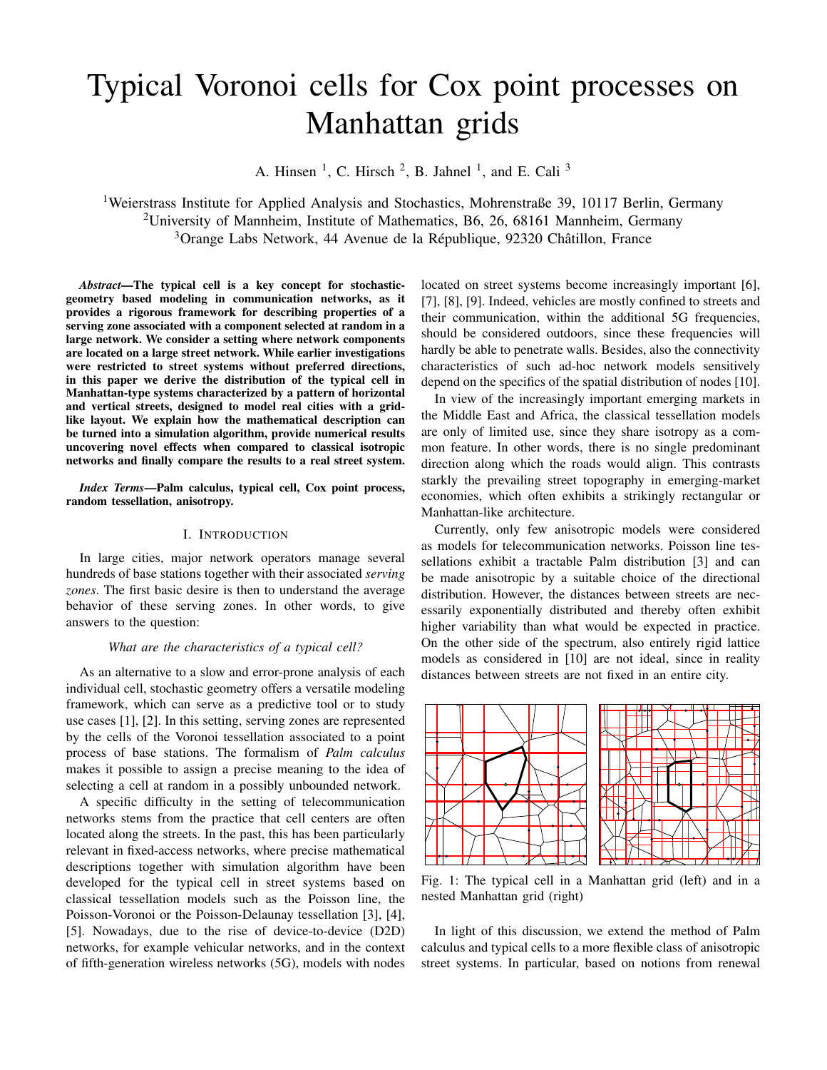# Typical Voronoi cells for Cox point processes on Manhattan grids

A. Hinsen<sup>1</sup>, C. Hirsch<sup>2</sup>, B. Jahnel<sup>1</sup>, and E. Cali<sup>3</sup>

<sup>1</sup>Weierstrass Institute for Applied Analysis and Stochastics, Mohrenstraße 39, 10117 Berlin, Germany <sup>2</sup>University of Mannheim, Institute of Mathematics, B6, 26, 68161 Mannheim, Germany <sup>3</sup>Orange Labs Network, 44 Avenue de la République, 92320 Châtillon, France

*Abstract*—The typical cell is a key concept for stochasticgeometry based modeling in communication networks, as it provides a rigorous framework for describing properties of a serving zone associated with a component selected at random in a large network. We consider a setting where network components are located on a large street network. While earlier investigations were restricted to street systems without preferred directions, in this paper we derive the distribution of the typical cell in Manhattan-type systems characterized by a pattern of horizontal and vertical streets, designed to model real cities with a gridlike layout. We explain how the mathematical description can be turned into a simulation algorithm, provide numerical results uncovering novel effects when compared to classical isotropic networks and finally compare the results to a real street system.

*Index Terms*—Palm calculus, typical cell, Cox point process, random tessellation, anisotropy.

## I. INTRODUCTION

In large cities, major network operators manage several hundreds of base stations together with their associated *serving zones*. The first basic desire is then to understand the average behavior of these serving zones. In other words, to give answers to the question:

## *What are the characteristics of a typical cell?*

As an alternative to a slow and error-prone analysis of each individual cell, stochastic geometry offers a versatile modeling framework, which can serve as a predictive tool or to study use cases [1], [2]. In this setting, serving zones are represented by the cells of the Voronoi tessellation associated to a point process of base stations. The formalism of *Palm calculus* makes it possible to assign a precise meaning to the idea of selecting a cell at random in a possibly unbounded network.

A specific difficulty in the setting of telecommunication networks stems from the practice that cell centers are often located along the streets. In the past, this has been particularly relevant in fixed-access networks, where precise mathematical descriptions together with simulation algorithm have been developed for the typical cell in street systems based on classical tessellation models such as the Poisson line, the Poisson-Voronoi or the Poisson-Delaunay tessellation [3], [4], [5]. Nowadays, due to the rise of device-to-device (D2D) networks, for example vehicular networks, and in the context of fifth-generation wireless networks (5G), models with nodes

located on street systems become increasingly important [6], [7], [8], [9]. Indeed, vehicles are mostly confined to streets and their communication, within the additional 5G frequencies, should be considered outdoors, since these frequencies will hardly be able to penetrate walls. Besides, also the connectivity characteristics of such ad-hoc network models sensitively depend on the specifics of the spatial distribution of nodes [10].

In view of the increasingly important emerging markets in the Middle East and Africa, the classical tessellation models are only of limited use, since they share isotropy as a common feature. In other words, there is no single predominant direction along which the roads would align. This contrasts starkly the prevailing street topography in emerging-market economies, which often exhibits a strikingly rectangular or Manhattan-like architecture.

Currently, only few anisotropic models were considered as models for telecommunication networks. Poisson line tessellations exhibit a tractable Palm distribution [3] and can be made anisotropic by a suitable choice of the directional distribution. However, the distances between streets are necessarily exponentially distributed and thereby often exhibit higher variability than what would be expected in practice. On the other side of the spectrum, also entirely rigid lattice models as considered in [10] are not ideal, since in reality distances between streets are not fixed in an entire city.



Fig. 1: The typical cell in a Manhattan grid (left) and in a nested Manhattan grid (right)

In light of this discussion, we extend the method of Palm calculus and typical cells to a more flexible class of anisotropic street systems. In particular, based on notions from renewal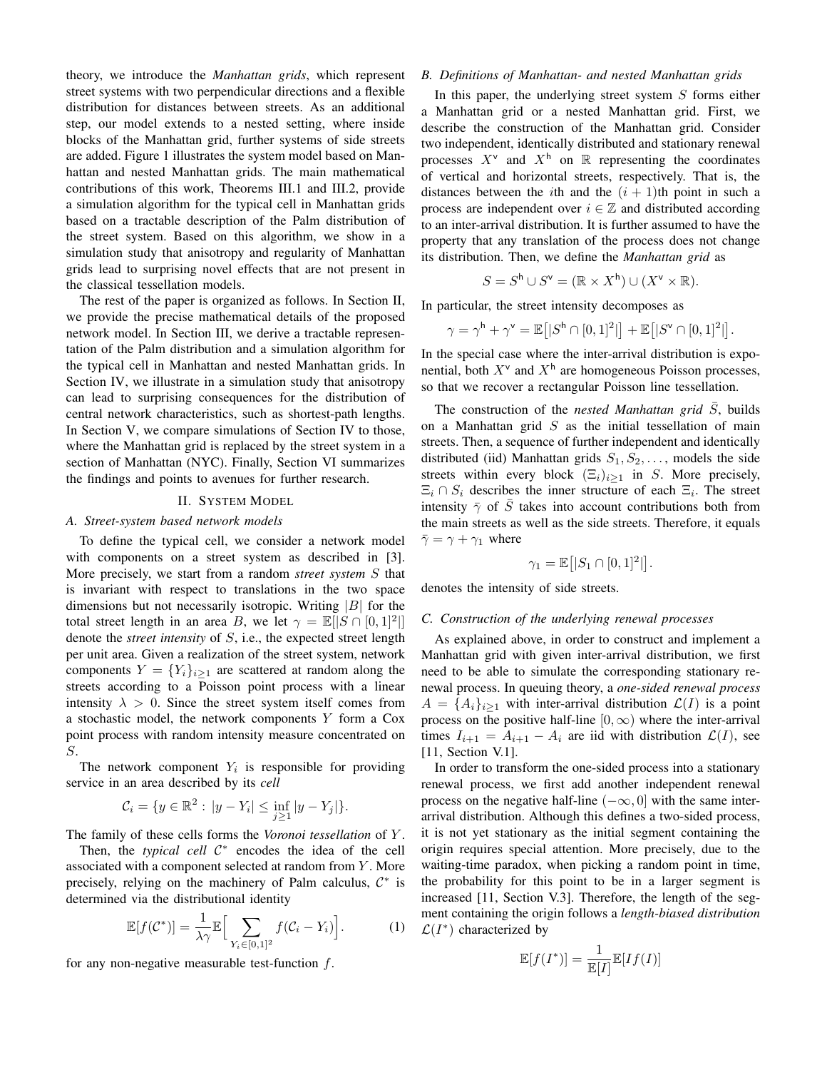theory, we introduce the *Manhattan grids*, which represent street systems with two perpendicular directions and a flexible distribution for distances between streets. As an additional step, our model extends to a nested setting, where inside blocks of the Manhattan grid, further systems of side streets are added. Figure 1 illustrates the system model based on Manhattan and nested Manhattan grids. The main mathematical contributions of this work, Theorems III.1 and III.2, provide a simulation algorithm for the typical cell in Manhattan grids based on a tractable description of the Palm distribution of the street system. Based on this algorithm, we show in a simulation study that anisotropy and regularity of Manhattan grids lead to surprising novel effects that are not present in the classical tessellation models.

The rest of the paper is organized as follows. In Section II, we provide the precise mathematical details of the proposed network model. In Section III, we derive a tractable representation of the Palm distribution and a simulation algorithm for the typical cell in Manhattan and nested Manhattan grids. In Section IV, we illustrate in a simulation study that anisotropy can lead to surprising consequences for the distribution of central network characteristics, such as shortest-path lengths. In Section V, we compare simulations of Section IV to those, where the Manhattan grid is replaced by the street system in a section of Manhattan (NYC). Finally, Section VI summarizes the findings and points to avenues for further research.

#### II. SYSTEM MODEL

## *A. Street-system based network models*

To define the typical cell, we consider a network model with components on a street system as described in [3]. More precisely, we start from a random *street system* S that is invariant with respect to translations in the two space dimensions but not necessarily isotropic. Writing  $|B|$  for the total street length in an area B, we let  $\gamma = \mathbb{E}[|S \cap [0,1]^2|]$ denote the *street intensity* of S, i.e., the expected street length per unit area. Given a realization of the street system, network components  $Y = \{Y_i\}_{i>1}$  are scattered at random along the streets according to a Poisson point process with a linear intensity  $\lambda > 0$ . Since the street system itself comes from a stochastic model, the network components  $Y$  form a Cox point process with random intensity measure concentrated on S.

The network component  $Y_i$  is responsible for providing service in an area described by its *cell*

$$
\mathcal{C}_i = \{ y \in \mathbb{R}^2 : |y - Y_i| \le \inf_{j \ge 1} |y - Y_j| \}.
$$

The family of these cells forms the *Voronoi tessellation* of Y .

Then, the *typical cell*  $C^*$  encodes the idea of the cell associated with a component selected at random from Y . More precisely, relying on the machinery of Palm calculus,  $C^*$  is determined via the distributional identity

$$
\mathbb{E}[f(\mathcal{C}^*)] = \frac{1}{\lambda \gamma} \mathbb{E}\Big[\sum_{Y_i \in [0,1]^2} f(C_i - Y_i)\Big].\tag{1}
$$

for any non-negative measurable test-function  $f$ .

#### *B. Definitions of Manhattan- and nested Manhattan grids*

In this paper, the underlying street system  $S$  forms either a Manhattan grid or a nested Manhattan grid. First, we describe the construction of the Manhattan grid. Consider two independent, identically distributed and stationary renewal processes  $X^{\vee}$  and  $X^{\dagger}$  on  $\mathbb R$  representing the coordinates of vertical and horizontal streets, respectively. That is, the distances between the *i*th and the  $(i + 1)$ th point in such a process are independent over  $i \in \mathbb{Z}$  and distributed according to an inter-arrival distribution. It is further assumed to have the property that any translation of the process does not change its distribution. Then, we define the *Manhattan grid* as

$$
S = S^{\mathsf{h}} \cup S^{\mathsf{v}} = (\mathbb{R} \times X^{\mathsf{h}}) \cup (X^{\mathsf{v}} \times \mathbb{R}).
$$

In particular, the street intensity decomposes as

$$
\gamma = \gamma^{\mathsf{h}} + \gamma^{\mathsf{v}} = \mathbb{E}\big[|S^{\mathsf{h}} \cap [0,1]^2|\big] + \mathbb{E}\big[|S^{\mathsf{v}} \cap [0,1]^2|\big].
$$

In the special case where the inter-arrival distribution is exponential, both  $X^{\vee}$  and  $X^{\dagger}$  are homogeneous Poisson processes, so that we recover a rectangular Poisson line tessellation.

The construction of the *nested Manhattan grid*  $\overline{S}$ , builds on a Manhattan grid  $S$  as the initial tessellation of main streets. Then, a sequence of further independent and identically distributed (iid) Manhattan grids  $S_1, S_2, \ldots$ , models the side streets within every block  $(\Xi_i)_{i\geq 1}$  in S. More precisely,  $\Xi_i \cap S_i$  describes the inner structure of each  $\Xi_i$ . The street intensity  $\bar{\gamma}$  of  $\bar{S}$  takes into account contributions both from the main streets as well as the side streets. Therefore, it equals  $\bar{\gamma} = \gamma + \gamma_1$  where

$$
\gamma_1 = \mathbb{E}[|S_1 \cap [0,1]^2|].
$$

denotes the intensity of side streets.

#### *C. Construction of the underlying renewal processes*

As explained above, in order to construct and implement a Manhattan grid with given inter-arrival distribution, we first need to be able to simulate the corresponding stationary renewal process. In queuing theory, a *one-sided renewal process*  $A = \{A_i\}_{i>1}$  with inter-arrival distribution  $\mathcal{L}(I)$  is a point process on the positive half-line  $[0, \infty)$  where the inter-arrival times  $I_{i+1} = A_{i+1} - A_i$  are iid with distribution  $\mathcal{L}(I)$ , see [11, Section V.1].

In order to transform the one-sided process into a stationary renewal process, we first add another independent renewal process on the negative half-line  $(-\infty, 0]$  with the same interarrival distribution. Although this defines a two-sided process, it is not yet stationary as the initial segment containing the origin requires special attention. More precisely, due to the waiting-time paradox, when picking a random point in time, the probability for this point to be in a larger segment is increased [11, Section V.3]. Therefore, the length of the segment containing the origin follows a *length-biased distribution*  $\mathcal{L}(I^*)$  characterized by

$$
\mathbb{E}[f(I^*)] = \frac{1}{\mathbb{E}[I]} \mathbb{E}[If(I)]
$$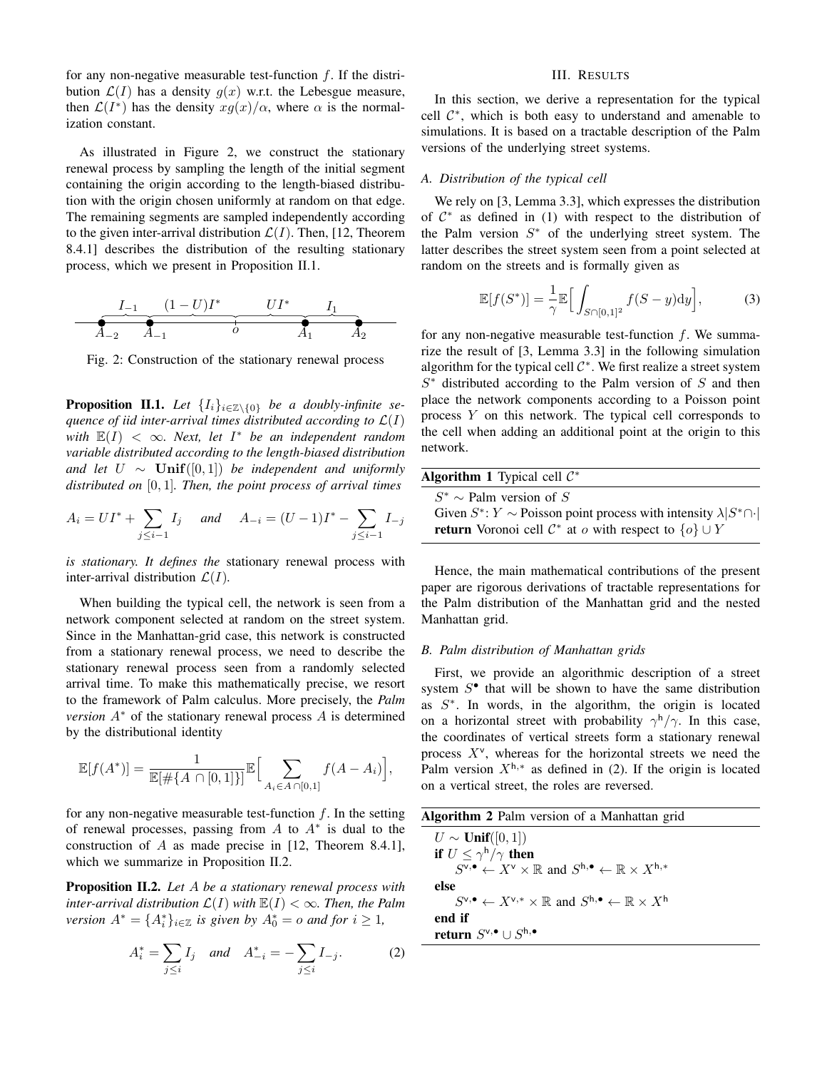for any non-negative measurable test-function  $f$ . If the distribution  $\mathcal{L}(I)$  has a density  $g(x)$  w.r.t. the Lebesgue measure, then  $\mathcal{L}(I^*)$  has the density  $xg(x)/\alpha$ , where  $\alpha$  is the normalization constant.

As illustrated in Figure 2, we construct the stationary renewal process by sampling the length of the initial segment containing the origin according to the length-biased distribution with the origin chosen uniformly at random on that edge. The remaining segments are sampled independently according to the given inter-arrival distribution  $\mathcal{L}(I)$ . Then, [12, Theorem 8.4.1] describes the distribution of the resulting stationary process, which we present in Proposition II.1.



Fig. 2: Construction of the stationary renewal process

**Proposition II.1.** Let  $\{I_i\}_{i\in\mathbb{Z}\setminus\{0\}}$  be a doubly-infinite se*quence of iid inter-arrival times distributed according to*  $\mathcal{L}(I)$  $\text{with} \ \mathbb{E}(I) \ < \infty$ . Next, let  $I^*$  be an independent random *variable distributed according to the length-biased distribution and let*  $U$  ∼  $Unif([0,1])$  *be independent and uniformly distributed on* [0, 1]*. Then, the point process of arrival times*

$$
A_i = UI^* + \sum_{j \le i-1} I_j \quad \text{and} \quad A_{-i} = (U - 1)I^* - \sum_{j \le i-1} I_{-j}
$$

*is stationary. It defines the* stationary renewal process with inter-arrival distribution  $\mathcal{L}(I)$ .

When building the typical cell, the network is seen from a network component selected at random on the street system. Since in the Manhattan-grid case, this network is constructed from a stationary renewal process, we need to describe the stationary renewal process seen from a randomly selected arrival time. To make this mathematically precise, we resort to the framework of Palm calculus. More precisely, the *Palm version*  $A^*$  of the stationary renewal process A is determined by the distributional identity

$$
\mathbb{E}[f(A^*)] = \frac{1}{\mathbb{E}[\#\{A \cap [0,1]\}]} \mathbb{E}\Big[\sum_{A_i \in A \cap [0,1]} f(A - A_i)\Big],
$$

for any non-negative measurable test-function  $f$ . In the setting of renewal processes, passing from  $A$  to  $A^*$  is dual to the construction of A as made precise in [12, Theorem 8.4.1], which we summarize in Proposition II.2.

Proposition II.2. *Let* A *be a stationary renewal process with inter-arrival distribution*  $\mathcal{L}(I)$  *with*  $\mathbb{E}(I) < \infty$ *. Then, the Palm version*  $A^* = \{A_i^*\}_{i \in \mathbb{Z}}$  *is given by*  $A_0^* = o$  *and for*  $i \geq 1$ *,* 

$$
A_i^* = \sum_{j \le i} I_j \quad \text{and} \quad A_{-i}^* = -\sum_{j \le i} I_{-j}.
$$
 (2)

## III. RESULTS

In this section, we derive a representation for the typical cell  $\mathcal{C}^*$ , which is both easy to understand and amenable to simulations. It is based on a tractable description of the Palm versions of the underlying street systems.

## *A. Distribution of the typical cell*

We rely on [3, Lemma 3.3], which expresses the distribution of  $C^*$  as defined in (1) with respect to the distribution of the Palm version  $S^*$  of the underlying street system. The latter describes the street system seen from a point selected at random on the streets and is formally given as

$$
\mathbb{E}[f(S^*)] = \frac{1}{\gamma} \mathbb{E}\Big[\int_{S \cap [0,1]^2} f(S-y) \mathrm{d}y\Big],\tag{3}
$$

for any non-negative measurable test-function  $f$ . We summarize the result of [3, Lemma 3.3] in the following simulation algorithm for the typical cell  $C^*$ . We first realize a street system  $S^*$  distributed according to the Palm version of  $S$  and then place the network components according to a Poisson point process Y on this network. The typical cell corresponds to the cell when adding an additional point at the origin to this network.

| <b>Algorithm 1</b> Typical cell $\mathcal{C}^*$                                        |
|----------------------------------------------------------------------------------------|
| $S^* \sim$ Palm version of S                                                           |
| Given $S^*$ : $Y \sim$ Poisson point process with intensity $\lambda  S^* \cap \cdot $ |
| <b>return</b> Voronoi cell $\mathcal{C}^*$ at o with respect to $\{o\} \cup Y$         |

Hence, the main mathematical contributions of the present paper are rigorous derivations of tractable representations for the Palm distribution of the Manhattan grid and the nested Manhattan grid.

## *B. Palm distribution of Manhattan grids*

First, we provide an algorithmic description of a street system  $S<sup>•</sup>$  that will be shown to have the same distribution as  $S^*$ . In words, in the algorithm, the origin is located on a horizontal street with probability  $\gamma^h/\gamma$ . In this case, the coordinates of vertical streets form a stationary renewal process  $X^{\vee}$ , whereas for the horizontal streets we need the Palm version  $X^{h,*}$  as defined in (2). If the origin is located on a vertical street, the roles are reversed.

| <b>Algorithm 2</b> Palm version of a Manhattan grid                                                                                             |
|-------------------------------------------------------------------------------------------------------------------------------------------------|
| $U \sim$ Unif([0, 1])                                                                                                                           |
| if $U \leq \gamma^h/\gamma$ then                                                                                                                |
| $S^{\mathsf{v},\bullet} \leftarrow X^{\mathsf{v}} \times \mathbb{R}$ and $S^{\mathsf{h},\bullet} \leftarrow \mathbb{R} \times X^{\mathsf{h},*}$ |
| else                                                                                                                                            |
| $S^{\vee,\bullet} \leftarrow X^{\vee,*} \times \mathbb{R}$ and $S^{\mathsf{h},\bullet} \leftarrow \mathbb{R} \times X^{\mathsf{h}}$             |
| end if                                                                                                                                          |
| return $S^{\vee,\bullet} \cup S^{\mathsf{h},\bullet}$                                                                                           |
|                                                                                                                                                 |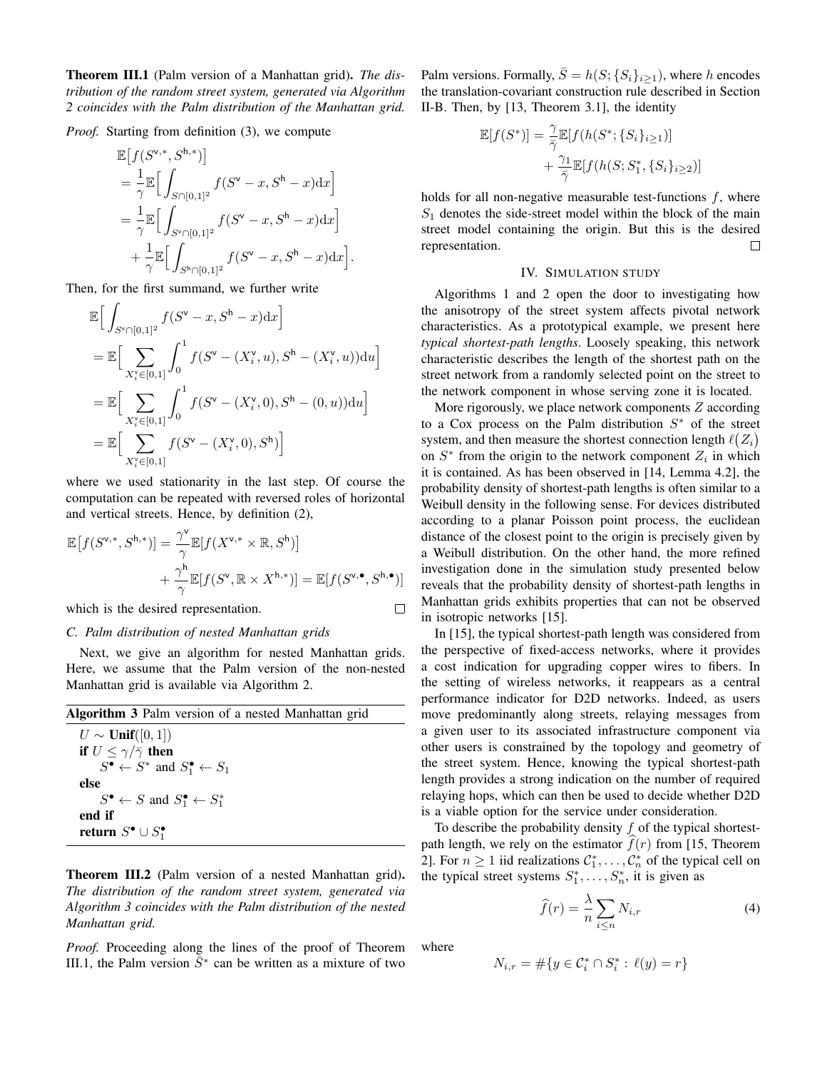Theorem III.1 (Palm version of a Manhattan grid). *The distribution of the random street system, generated via Algorithm 2 coincides with the Palm distribution of the Manhattan grid.*

*Proof.* Starting from definition (3), we compute

$$
\mathbb{E}\left[f(S^{\mathbf{v},*}, S^{\mathbf{h},*})\right]
$$
\n
$$
= \frac{1}{\gamma} \mathbb{E}\Big[\int_{S \cap [0,1]^2} f(S^{\mathbf{v}} - x, S^{\mathbf{h}} - x) dx\Big]
$$
\n
$$
= \frac{1}{\gamma} \mathbb{E}\Big[\int_{S^{\mathbf{v}} \cap [0,1]^2} f(S^{\mathbf{v}} - x, S^{\mathbf{h}} - x) dx\Big]
$$
\n
$$
+ \frac{1}{\gamma} \mathbb{E}\Big[\int_{S^{\mathbf{h}} \cap [0,1]^2} f(S^{\mathbf{v}} - x, S^{\mathbf{h}} - x) dx\Big].
$$

Then, for the first summand, we further write

$$
\mathbb{E}\Big[\int_{S^{\vee}\cap[0,1]^{2}}f(S^{\vee}-x, S^{\mathsf{h}}-x)\mathrm{d}x\Big]
$$
\n
$$
=\mathbb{E}\Big[\sum_{X_{i}^{\vee}\in[0,1]} \int_{0}^{1}f(S^{\vee}-(X_{i}^{\vee},u), S^{\mathsf{h}}-(X_{i}^{\vee},u))\mathrm{d}u\Big]
$$
\n
$$
=\mathbb{E}\Big[\sum_{X_{i}^{\vee}\in[0,1]} \int_{0}^{1}f(S^{\vee}-(X_{i}^{\vee},0), S^{\mathsf{h}}-(0,u))\mathrm{d}u\Big]
$$
\n
$$
=\mathbb{E}\Big[\sum_{X_{i}^{\vee}\in[0,1]}f(S^{\vee}-(X_{i}^{\vee},0), S^{\mathsf{h}})\Big]
$$

where we used stationarity in the last step. Of course the computation can be repeated with reversed roles of horizontal and vertical streets. Hence, by definition (2),

$$
\mathbb{E}\left[f(S^{\mathsf{v},*},S^{\mathsf{h},*})\right] = \frac{\gamma^{\mathsf{v}}}{\gamma} \mathbb{E}[f(X^{\mathsf{v},*} \times \mathbb{R},S^{\mathsf{h}})] + \frac{\gamma^{\mathsf{h}}}{\gamma} \mathbb{E}[f(S^{\mathsf{v}},\mathbb{R} \times X^{\mathsf{h},*})] = \mathbb{E}[f(S^{\mathsf{v},\bullet},S^{\mathsf{h},\bullet})]
$$

which is the desired representation.

#### *C. Palm distribution of nested Manhattan grids*

Next, we give an algorithm for nested Manhattan grids. Here, we assume that the Palm version of the non-nested Manhattan grid is available via Algorithm 2.

| <b>Algorithm 3</b> Palm version of a nested Manhattan grid      |  |
|-----------------------------------------------------------------|--|
| $U \sim$ Unif([0, 1])                                           |  |
| if $U \leq \gamma/\bar{\gamma}$ then                            |  |
| $S^{\bullet} \leftarrow S^*$ and $S_1^{\bullet} \leftarrow S_1$ |  |
| else                                                            |  |
| $S^{\bullet} \leftarrow S$ and $S^{\bullet} \leftarrow S^*$     |  |
| end if                                                          |  |
| return $S^{\bullet} \cup S^{\bullet}$                           |  |

Theorem III.2 (Palm version of a nested Manhattan grid). *The distribution of the random street system, generated via Algorithm 3 coincides with the Palm distribution of the nested Manhattan grid.*

*Proof.* Proceeding along the lines of the proof of Theorem III.1, the Palm version  $\overline{S}$ <sup>\*</sup> can be written as a mixture of two Palm versions. Formally,  $\overline{S} = h(S; \{S_i\}_{i>1})$ , where h encodes the translation-covariant construction rule described in Section II-B. Then, by [13, Theorem 3.1], the identity

$$
\mathbb{E}[f(S^*)] = \frac{\gamma}{\overline{\gamma}} \mathbb{E}[f(h(S^*; \{S_i\}_{i \ge 1})] + \frac{\gamma_1}{\overline{\gamma}} \mathbb{E}[f(h(S; S_1^*, \{S_i\}_{i \ge 2})]
$$

holds for all non-negative measurable test-functions  $f$ , where  $S_1$  denotes the side-street model within the block of the main street model containing the origin. But this is the desired representation.  $\Box$ 

## IV. SIMULATION STUDY

Algorithms 1 and 2 open the door to investigating how the anisotropy of the street system affects pivotal network characteristics. As a prototypical example, we present here *typical shortest-path lengths*. Loosely speaking, this network characteristic describes the length of the shortest path on the street network from a randomly selected point on the street to the network component in whose serving zone it is located.

More rigorously, we place network components  $Z$  according to a Cox process on the Palm distribution  $S^*$  of the street system, and then measure the shortest connection length  $\ell(Z_i)$ on  $S^*$  from the origin to the network component  $Z_i$  in which it is contained. As has been observed in [14, Lemma 4.2], the probability density of shortest-path lengths is often similar to a Weibull density in the following sense. For devices distributed according to a planar Poisson point process, the euclidean distance of the closest point to the origin is precisely given by a Weibull distribution. On the other hand, the more refined investigation done in the simulation study presented below reveals that the probability density of shortest-path lengths in Manhattan grids exhibits properties that can not be observed in isotropic networks [15].

In [15], the typical shortest-path length was considered from the perspective of fixed-access networks, where it provides a cost indication for upgrading copper wires to fibers. In the setting of wireless networks, it reappears as a central performance indicator for D2D networks. Indeed, as users move predominantly along streets, relaying messages from a given user to its associated infrastructure component via other users is constrained by the topology and geometry of the street system. Hence, knowing the typical shortest-path length provides a strong indication on the number of required relaying hops, which can then be used to decide whether D2D is a viable option for the service under consideration.

To describe the probability density  $f$  of the typical shortestpath length, we rely on the estimator  $f(r)$  from [15, Theorem 2]. For  $n \geq 1$  iid realizations  $\mathcal{C}_1^*, \ldots, \mathcal{C}_n^*$  of the typical cell on the typical street systems  $S_1^*, \ldots, S_n^*$ , it is given as

$$
\widehat{f}(r) = \frac{\lambda}{n} \sum_{i \le n} N_{i,r} \tag{4}
$$

where

 $\Box$ 

$$
N_{i,r} = \# \{ y \in \mathcal{C}_i^* \cap S_i^* : \ell(y) = r \}
$$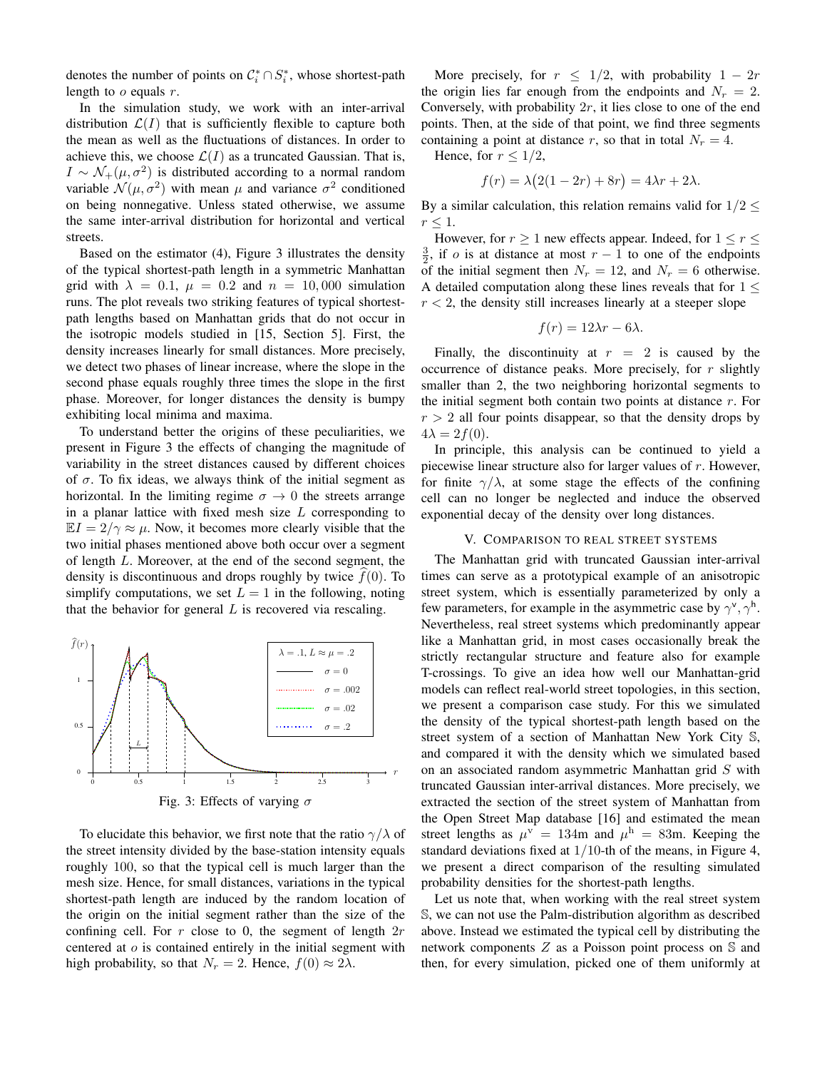denotes the number of points on  $\mathcal{C}_i^* \cap S_i^*$ , whose shortest-path length to  $o$  equals  $r$ .

In the simulation study, we work with an inter-arrival distribution  $\mathcal{L}(I)$  that is sufficiently flexible to capture both the mean as well as the fluctuations of distances. In order to achieve this, we choose  $\mathcal{L}(I)$  as a truncated Gaussian. That is,  $I \sim \mathcal{N}_+(\mu, \sigma^2)$  is distributed according to a normal random variable  $\mathcal{N}(\mu, \sigma^2)$  with mean  $\mu$  and variance  $\sigma^2$  conditioned on being nonnegative. Unless stated otherwise, we assume the same inter-arrival distribution for horizontal and vertical streets.

Based on the estimator (4), Figure 3 illustrates the density of the typical shortest-path length in a symmetric Manhattan grid with  $\lambda = 0.1$ ,  $\mu = 0.2$  and  $n = 10,000$  simulation runs. The plot reveals two striking features of typical shortestpath lengths based on Manhattan grids that do not occur in the isotropic models studied in [15, Section 5]. First, the density increases linearly for small distances. More precisely, we detect two phases of linear increase, where the slope in the second phase equals roughly three times the slope in the first phase. Moreover, for longer distances the density is bumpy exhibiting local minima and maxima.

To understand better the origins of these peculiarities, we present in Figure 3 the effects of changing the magnitude of variability in the street distances caused by different choices of  $\sigma$ . To fix ideas, we always think of the initial segment as horizontal. In the limiting regime  $\sigma \rightarrow 0$  the streets arrange in a planar lattice with fixed mesh size  $L$  corresponding to  $\mathbb{E} I = 2/\gamma \approx \mu$ . Now, it becomes more clearly visible that the two initial phases mentioned above both occur over a segment of length L. Moreover, at the end of the second segment, the density is discontinuous and drops roughly by twice  $f(0)$ . To simplify computations, we set  $L = 1$  in the following, noting that the behavior for general  $L$  is recovered via rescaling.





To elucidate this behavior, we first note that the ratio  $\gamma/\lambda$  of the street intensity divided by the base-station intensity equals roughly 100, so that the typical cell is much larger than the mesh size. Hence, for small distances, variations in the typical shortest-path length are induced by the random location of the origin on the initial segment rather than the size of the confining cell. For r close to 0, the segment of length  $2r$ centered at  $\sigma$  is contained entirely in the initial segment with high probability, so that  $N_r = 2$ . Hence,  $f(0) \approx 2\lambda$ .

More precisely, for  $r \leq 1/2$ , with probability  $1 - 2r$ the origin lies far enough from the endpoints and  $N_r = 2$ . Conversely, with probability  $2r$ , it lies close to one of the end points. Then, at the side of that point, we find three segments containing a point at distance r, so that in total  $N_r = 4$ .

Hence, for 
$$
r \leq 1/2
$$
,

$$
f(r) = \lambda (2(1 - 2r) + 8r) = 4\lambda r + 2\lambda.
$$

By a similar calculation, this relation remains valid for  $1/2 \leq$  $r \leq 1$ .

However, for  $r \geq 1$  new effects appear. Indeed, for  $1 \leq r \leq 1$  $\frac{3}{2}$ , if *o* is at distance at most  $r - 1$  to one of the endpoints of the initial segment then  $N_r = 12$ , and  $N_r = 6$  otherwise. A detailed computation along these lines reveals that for  $1 \leq$  $r < 2$ , the density still increases linearly at a steeper slope

$$
f(r) = 12\lambda r - 6\lambda.
$$

Finally, the discontinuity at  $r = 2$  is caused by the occurrence of distance peaks. More precisely, for  $r$  slightly smaller than 2, the two neighboring horizontal segments to the initial segment both contain two points at distance  $r$ . For  $r > 2$  all four points disappear, so that the density drops by  $4\lambda = 2f(0).$ 

In principle, this analysis can be continued to yield a piecewise linear structure also for larger values of  $r$ . However, for finite  $\gamma/\lambda$ , at some stage the effects of the confining cell can no longer be neglected and induce the observed exponential decay of the density over long distances.

#### V. COMPARISON TO REAL STREET SYSTEMS

The Manhattan grid with truncated Gaussian inter-arrival times can serve as a prototypical example of an anisotropic street system, which is essentially parameterized by only a few parameters, for example in the asymmetric case by  $\gamma^{\vee}, \gamma^{\mathsf{h}}$ . Nevertheless, real street systems which predominantly appear like a Manhattan grid, in most cases occasionally break the strictly rectangular structure and feature also for example T-crossings. To give an idea how well our Manhattan-grid models can reflect real-world street topologies, in this section, we present a comparison case study. For this we simulated the density of the typical shortest-path length based on the street system of a section of Manhattan New York City S, and compared it with the density which we simulated based on an associated random asymmetric Manhattan grid S with truncated Gaussian inter-arrival distances. More precisely, we extracted the section of the street system of Manhattan from the Open Street Map database [16] and estimated the mean street lengths as  $\mu^{\rm v} = 134$ m and  $\mu^{\rm h} = 83$ m. Keeping the standard deviations fixed at  $1/10$ -th of the means, in Figure 4, we present a direct comparison of the resulting simulated probability densities for the shortest-path lengths.

Let us note that, when working with the real street system S, we can not use the Palm-distribution algorithm as described above. Instead we estimated the typical cell by distributing the network components Z as a Poisson point process on S and then, for every simulation, picked one of them uniformly at